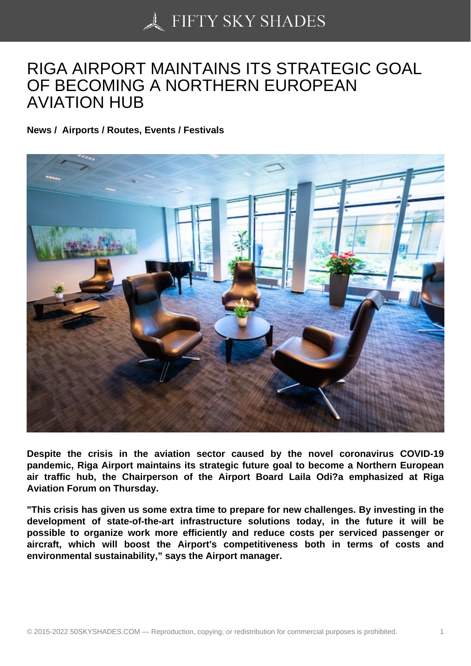## [RIGA AIRPORT MAINT](https://50skyshades.com)AINS ITS STRATEGIC GOAL OF BECOMING A NORTHERN EUROPEAN AVIATION HUB

News / Airports / Routes, Events / Festivals

Despite the crisis in the aviation sector caused by the novel coronavirus COVID-19 pandemic, Riga Airport maintains its strategic future goal to become a Northern European air traffic hub, the Chairperson of the Airport Board Laila Odi?a emphasized at Riga Aviation Forum on Thursday.

"This crisis has given us some extra time to prepare for new challenges. By investing in the development of state-of-the-art infrastructure solutions today, in the future it will be possible to organize work more efficiently and reduce costs per serviced passenger or aircraft, which will boost the Airport's competitiveness both in terms of costs and environmental sustainability," says the Airport manager.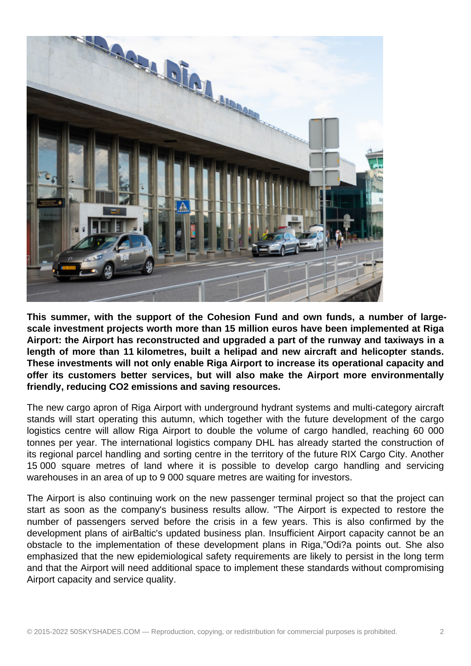

**This summer, with the support of the Cohesion Fund and own funds, a number of largescale investment projects worth more than 15 million euros have been implemented at Riga Airport: the Airport has reconstructed and upgraded a part of the runway and taxiways in a length of more than 11 kilometres, built a helipad and new aircraft and helicopter stands. These investments will not only enable Riga Airport to increase its operational capacity and offer its customers better services, but will also make the Airport more environmentally friendly, reducing CO2 emissions and saving resources.**

The new cargo apron of Riga Airport with underground hydrant systems and multi-category aircraft stands will start operating this autumn, which together with the future development of the cargo logistics centre will allow Riga Airport to double the volume of cargo handled, reaching 60 000 tonnes per year. The international logistics company DHL has already started the construction of its regional parcel handling and sorting centre in the territory of the future RIX Cargo City. Another 15 000 square metres of land where it is possible to develop cargo handling and servicing warehouses in an area of up to 9 000 square metres are waiting for investors.

The Airport is also continuing work on the new passenger terminal project so that the project can start as soon as the company's business results allow. "The Airport is expected to restore the number of passengers served before the crisis in a few years. This is also confirmed by the development plans of airBaltic's updated business plan. Insufficient Airport capacity cannot be an obstacle to the implementation of these development plans in Riga,"Odi?a points out. She also emphasized that the new epidemiological safety requirements are likely to persist in the long term and that the Airport will need additional space to implement these standards without compromising Airport capacity and service quality.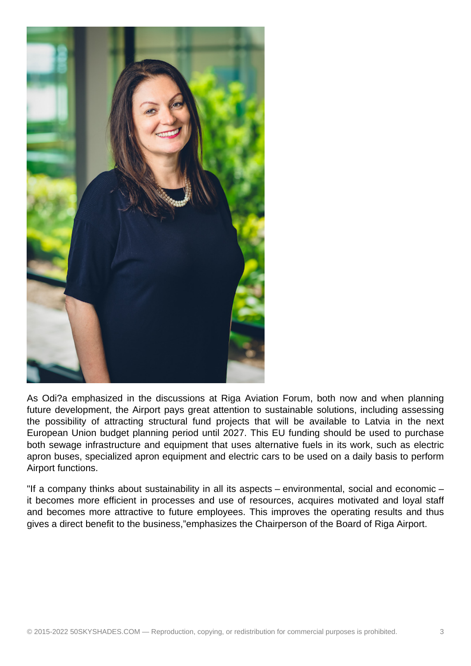

As Odi?a emphasized in the discussions at Riga Aviation Forum, both now and when planning future development, the Airport pays great attention to sustainable solutions, including assessing the possibility of attracting structural fund projects that will be available to Latvia in the next European Union budget planning period until 2027. This EU funding should be used to purchase both sewage infrastructure and equipment that uses alternative fuels in its work, such as electric apron buses, specialized apron equipment and electric cars to be used on a daily basis to perform Airport functions.

"If a company thinks about sustainability in all its aspects – environmental, social and economic – it becomes more efficient in processes and use of resources, acquires motivated and loyal staff and becomes more attractive to future employees. This improves the operating results and thus gives a direct benefit to the business,"emphasizes the Chairperson of the Board of Riga Airport.